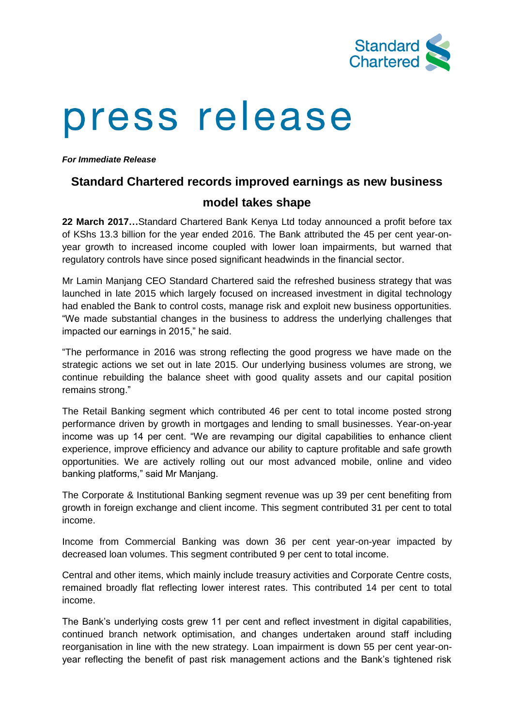

# press release

*For Immediate Release*

## **Standard Chartered records improved earnings as new business**

## **model takes shape**

**22 March 2017…**Standard Chartered Bank Kenya Ltd today announced a profit before tax of KShs 13.3 billion for the year ended 2016. The Bank attributed the 45 per cent year-onyear growth to increased income coupled with lower loan impairments, but warned that regulatory controls have since posed significant headwinds in the financial sector.

Mr Lamin Manjang CEO Standard Chartered said the refreshed business strategy that was launched in late 2015 which largely focused on increased investment in digital technology had enabled the Bank to control costs, manage risk and exploit new business opportunities. "We made substantial changes in the business to address the underlying challenges that impacted our earnings in 2015," he said.

"The performance in 2016 was strong reflecting the good progress we have made on the strategic actions we set out in late 2015. Our underlying business volumes are strong, we continue rebuilding the balance sheet with good quality assets and our capital position remains strong."

The Retail Banking segment which contributed 46 per cent to total income posted strong performance driven by growth in mortgages and lending to small businesses. Year-on-year income was up 14 per cent. "We are revamping our digital capabilities to enhance client experience, improve efficiency and advance our ability to capture profitable and safe growth opportunities. We are actively rolling out our most advanced mobile, online and video banking platforms," said Mr Manjang.

The Corporate & Institutional Banking segment revenue was up 39 per cent benefiting from growth in foreign exchange and client income. This segment contributed 31 per cent to total income.

Income from Commercial Banking was down 36 per cent year-on-year impacted by decreased loan volumes. This segment contributed 9 per cent to total income.

Central and other items, which mainly include treasury activities and Corporate Centre costs, remained broadly flat reflecting lower interest rates. This contributed 14 per cent to total income.

The Bank's underlying costs grew 11 per cent and reflect investment in digital capabilities, continued branch network optimisation, and changes undertaken around staff including reorganisation in line with the new strategy. Loan impairment is down 55 per cent year-onyear reflecting the benefit of past risk management actions and the Bank's tightened risk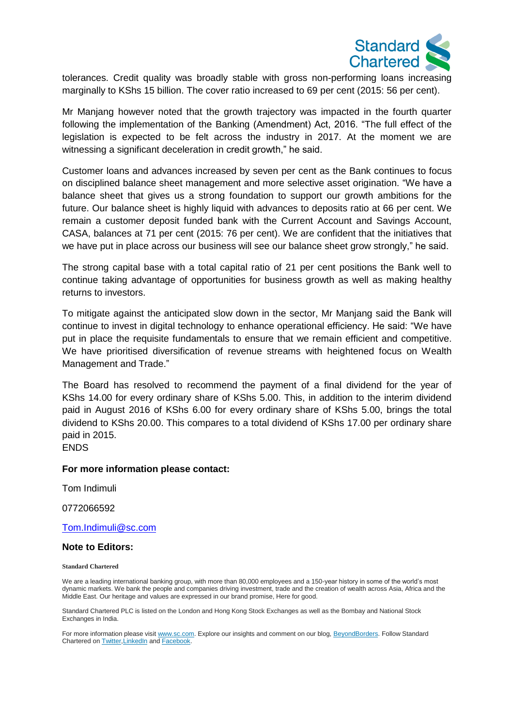

tolerances. Credit quality was broadly stable with gross non-performing loans increasing marginally to KShs 15 billion. The cover ratio increased to 69 per cent (2015: 56 per cent).

Mr Manjang however noted that the growth trajectory was impacted in the fourth quarter following the implementation of the Banking (Amendment) Act, 2016. "The full effect of the legislation is expected to be felt across the industry in 2017. At the moment we are witnessing a significant deceleration in credit growth," he said.

Customer loans and advances increased by seven per cent as the Bank continues to focus on disciplined balance sheet management and more selective asset origination. "We have a balance sheet that gives us a strong foundation to support our growth ambitions for the future. Our balance sheet is highly liquid with advances to deposits ratio at 66 per cent. We remain a customer deposit funded bank with the Current Account and Savings Account, CASA, balances at 71 per cent (2015: 76 per cent). We are confident that the initiatives that we have put in place across our business will see our balance sheet grow strongly," he said.

The strong capital base with a total capital ratio of 21 per cent positions the Bank well to continue taking advantage of opportunities for business growth as well as making healthy returns to investors.

To mitigate against the anticipated slow down in the sector, Mr Manjang said the Bank will continue to invest in digital technology to enhance operational efficiency. He said: "We have put in place the requisite fundamentals to ensure that we remain efficient and competitive. We have prioritised diversification of revenue streams with heightened focus on Wealth Management and Trade."

The Board has resolved to recommend the payment of a final dividend for the year of KShs 14.00 for every ordinary share of KShs 5.00. This, in addition to the interim dividend paid in August 2016 of KShs 6.00 for every ordinary share of KShs 5.00, brings the total dividend to KShs 20.00. This compares to a total dividend of KShs 17.00 per ordinary share paid in 2015.

ENDS

#### **For more information please contact:**

Tom Indimuli

0772066592

[Tom.Indimuli@sc.com](mailto:Tom.Indimuli@sc.com)

#### **Note to Editors:**

**Standard Chartered**

We are a leading international banking group, with more than 80,000 employees and a 150-year history in some of the world's most dynamic markets. We bank the people and companies driving investment, trade and the creation of wealth across Asia, Africa and the Middle East. Our heritage and values are expressed in our brand promise, Here for good.

Standard Chartered PLC is listed on the London and Hong Kong Stock Exchanges as well as the Bombay and National Stock Exchanges in India.

For more information please visit [www.sc.com.](https://thebridge.zone1.scb.net/www.sc.com) Explore our insights and comment on our blog, [BeyondBorders.](https://thebridge.zone1.scb.net/www.sc.com/BeyondBorders) Follow Standard Chartered on [Twitter,](https://thebridge.zone1.scb.net/twitter.com/StanChart)[LinkedIn](https://thebridge.zone1.scb.net/www.linkedin.com/company/standard-chartered-bank) and [Facebook.](https://thebridge.zone1.scb.net/www.facebook.com/standardchartered)